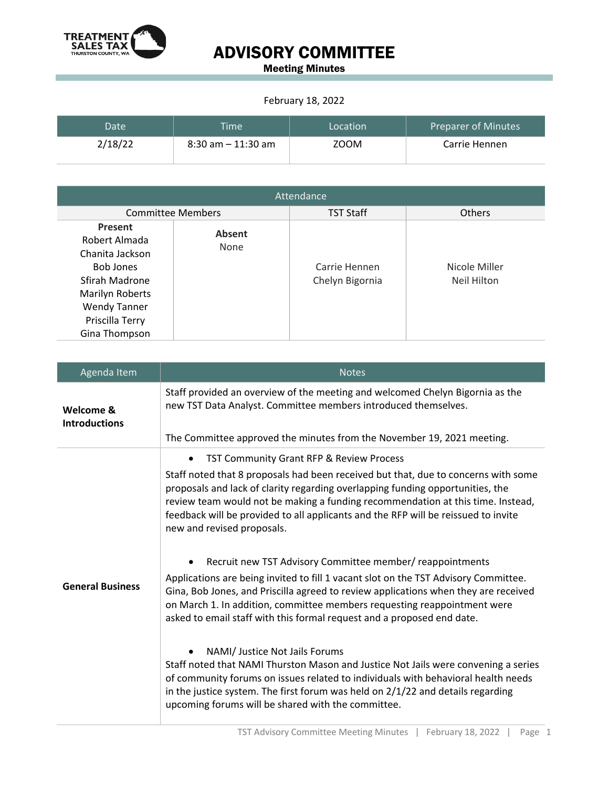

## ADVISORY COMMITTEE

Meeting Minutes

## February 18, 2022

| Date'   | <b>Time</b>           | Location | Preparer of Minutes |
|---------|-----------------------|----------|---------------------|
| 2/18/22 | $8:30$ am $-11:30$ am | ZOOM     | Carrie Hennen       |

| Attendance                                                                                                                                                      |                       |                                  |                              |  |
|-----------------------------------------------------------------------------------------------------------------------------------------------------------------|-----------------------|----------------------------------|------------------------------|--|
| <b>Committee Members</b>                                                                                                                                        |                       | <b>TST Staff</b>                 | <b>Others</b>                |  |
| Present<br>Robert Almada<br>Chanita Jackson<br><b>Bob Jones</b><br>Sfirah Madrone<br>Marilyn Roberts<br><b>Wendy Tanner</b><br>Priscilla Terry<br>Gina Thompson | <b>Absent</b><br>None | Carrie Hennen<br>Chelyn Bigornia | Nicole Miller<br>Neil Hilton |  |

| Agenda Item                       | <b>Notes</b>                                                                                                                                                                                                                                                                                                                                                                |  |
|-----------------------------------|-----------------------------------------------------------------------------------------------------------------------------------------------------------------------------------------------------------------------------------------------------------------------------------------------------------------------------------------------------------------------------|--|
| Welcome &<br><b>Introductions</b> | Staff provided an overview of the meeting and welcomed Chelyn Bigornia as the<br>new TST Data Analyst. Committee members introduced themselves.                                                                                                                                                                                                                             |  |
|                                   | The Committee approved the minutes from the November 19, 2021 meeting.                                                                                                                                                                                                                                                                                                      |  |
| <b>General Business</b>           | TST Community Grant RFP & Review Process<br>$\bullet$                                                                                                                                                                                                                                                                                                                       |  |
|                                   | Staff noted that 8 proposals had been received but that, due to concerns with some<br>proposals and lack of clarity regarding overlapping funding opportunities, the<br>review team would not be making a funding recommendation at this time. Instead,<br>feedback will be provided to all applicants and the RFP will be reissued to invite<br>new and revised proposals. |  |
|                                   | Recruit new TST Advisory Committee member/ reappointments                                                                                                                                                                                                                                                                                                                   |  |
|                                   | Applications are being invited to fill 1 vacant slot on the TST Advisory Committee.<br>Gina, Bob Jones, and Priscilla agreed to review applications when they are received<br>on March 1. In addition, committee members requesting reappointment were<br>asked to email staff with this formal request and a proposed end date.                                            |  |
|                                   | NAMI/ Justice Not Jails Forums<br>Staff noted that NAMI Thurston Mason and Justice Not Jails were convening a series<br>of community forums on issues related to individuals with behavioral health needs<br>in the justice system. The first forum was held on 2/1/22 and details regarding<br>upcoming forums will be shared with the committee.                          |  |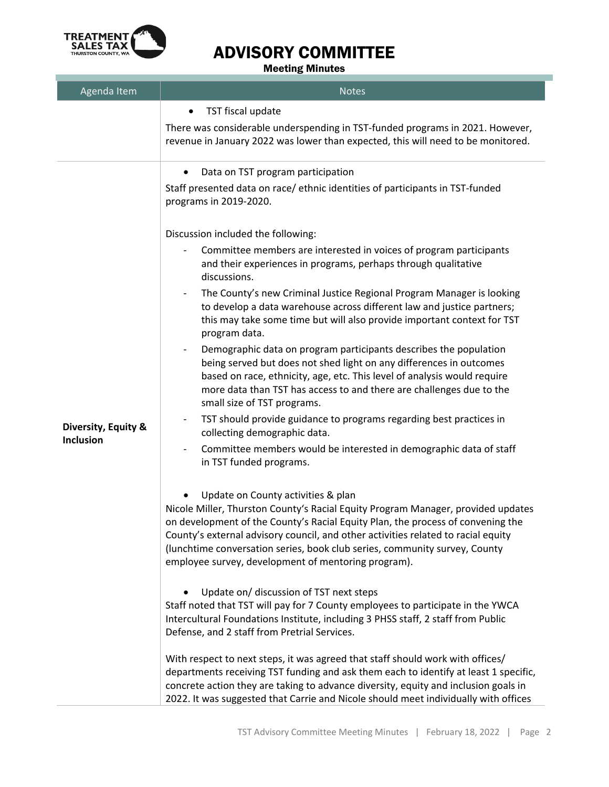

## ADVISORY COMMITTEE

Meeting Minutes

| Agenda Item                      | <b>Notes</b>                                                                                                                                                                                                                                                                                                                                                                                                                                                                                                                                                                                                                                                                                                                                                                                                                                                                                                                                                                                                                                                                                                                                                                                                                                                                                                                                                                                                                           |
|----------------------------------|----------------------------------------------------------------------------------------------------------------------------------------------------------------------------------------------------------------------------------------------------------------------------------------------------------------------------------------------------------------------------------------------------------------------------------------------------------------------------------------------------------------------------------------------------------------------------------------------------------------------------------------------------------------------------------------------------------------------------------------------------------------------------------------------------------------------------------------------------------------------------------------------------------------------------------------------------------------------------------------------------------------------------------------------------------------------------------------------------------------------------------------------------------------------------------------------------------------------------------------------------------------------------------------------------------------------------------------------------------------------------------------------------------------------------------------|
|                                  | TST fiscal update                                                                                                                                                                                                                                                                                                                                                                                                                                                                                                                                                                                                                                                                                                                                                                                                                                                                                                                                                                                                                                                                                                                                                                                                                                                                                                                                                                                                                      |
|                                  | There was considerable underspending in TST-funded programs in 2021. However,<br>revenue in January 2022 was lower than expected, this will need to be monitored.                                                                                                                                                                                                                                                                                                                                                                                                                                                                                                                                                                                                                                                                                                                                                                                                                                                                                                                                                                                                                                                                                                                                                                                                                                                                      |
| Diversity, Equity &<br>Inclusion | Data on TST program participation<br>٠<br>Staff presented data on race/ethnic identities of participants in TST-funded<br>programs in 2019-2020.<br>Discussion included the following:<br>Committee members are interested in voices of program participants<br>and their experiences in programs, perhaps through qualitative<br>discussions.<br>The County's new Criminal Justice Regional Program Manager is looking<br>to develop a data warehouse across different law and justice partners;<br>this may take some time but will also provide important context for TST<br>program data.<br>Demographic data on program participants describes the population<br>being served but does not shed light on any differences in outcomes<br>based on race, ethnicity, age, etc. This level of analysis would require<br>more data than TST has access to and there are challenges due to the<br>small size of TST programs.<br>TST should provide guidance to programs regarding best practices in<br>collecting demographic data.<br>Committee members would be interested in demographic data of staff<br>in TST funded programs.<br>Update on County activities & plan<br>Nicole Miller, Thurston County's Racial Equity Program Manager, provided updates<br>on development of the County's Racial Equity Plan, the process of convening the<br>County's external advisory council, and other activities related to racial equity |
|                                  | (lunchtime conversation series, book club series, community survey, County<br>employee survey, development of mentoring program).                                                                                                                                                                                                                                                                                                                                                                                                                                                                                                                                                                                                                                                                                                                                                                                                                                                                                                                                                                                                                                                                                                                                                                                                                                                                                                      |
|                                  | Update on/ discussion of TST next steps<br>Staff noted that TST will pay for 7 County employees to participate in the YWCA<br>Intercultural Foundations Institute, including 3 PHSS staff, 2 staff from Public<br>Defense, and 2 staff from Pretrial Services.                                                                                                                                                                                                                                                                                                                                                                                                                                                                                                                                                                                                                                                                                                                                                                                                                                                                                                                                                                                                                                                                                                                                                                         |
|                                  | With respect to next steps, it was agreed that staff should work with offices/<br>departments receiving TST funding and ask them each to identify at least 1 specific,<br>concrete action they are taking to advance diversity, equity and inclusion goals in<br>2022. It was suggested that Carrie and Nicole should meet individually with offices                                                                                                                                                                                                                                                                                                                                                                                                                                                                                                                                                                                                                                                                                                                                                                                                                                                                                                                                                                                                                                                                                   |